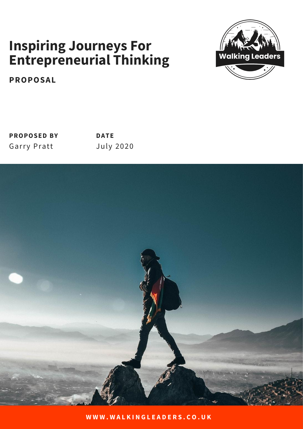## **Inspiring Journeys For Entrepreneurial Thinking**



**PROPOSAL**

| <b>PROPOSED BY</b> | <b>DATE</b>      |
|--------------------|------------------|
| <b>Garry Pratt</b> | <b>July 2020</b> |

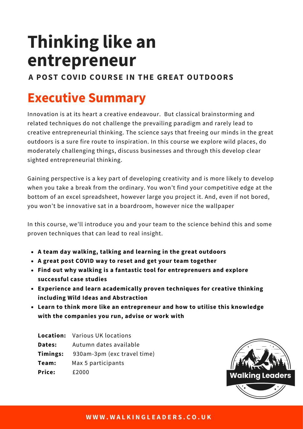# **Thinking like an entrepreneur**

### **A POST COVID COURSE IN THE GREAT OUTDOORS**

# **Executive Summary**

Innovation is at its heart a creative endeavour. But classical brainstorming and related techniques do not challenge the prevailing paradigm and rarely lead to creative entrepreneurial thinking. The science says that freeing our minds in the great outdoors is a sure fire route to inspiration. In this course we explore wild places, do moderately challenging things, discuss businesses and through this develop clear sighted entrepreneurial thinking.

Gaining perspective is a key part of developing creativity and is more likely to develop when you take a break from the ordinary. You won't find your competitive edge at the bottom of an excel spreadsheet, however large you project it. And, even if not bored, you won't be innovative sat in a boardroom, however nice the wallpaper

In this course, we'll introduce you and your team to the science behind this and some proven techniques that can lead to real insight.

- **A team day walking, talking and learning in the great outdoors**
- **A great post COVID way to reset and get your team together**
- **Find out why walking is a fantastic tool for entreprenuers and explore successful case studies**
- **Experience and learn academically proven techniques for creative thinking including Wild Ideas and Abstraction**
- **Learn to think more like an entrepreneur and how to utilise this knowledge with the companies you run, advise or work with**

|               | <b>Location:</b> Various UK locations |
|---------------|---------------------------------------|
| Dates:        | Autumn dates available                |
| Timings:      | 930am-3pm (exc travel time)           |
| Team:         | Max 5 participants                    |
| <b>Price:</b> | £2000                                 |

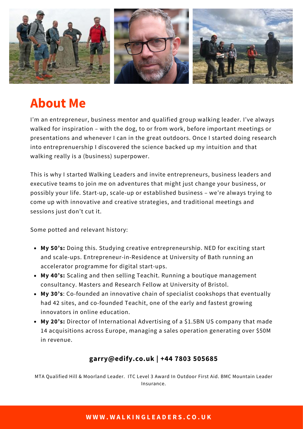

### **About Me**

I'm an entrepreneur, business mentor and qualified group walking leader. I've always walked for inspiration – with the dog, to or from work, before important meetings or presentations and whenever I can in the great outdoors. Once I started doing research into entreprenuership I discovered the science backed up my intuition and that walking really is a (business) superpower.

This is why I started Walking Leaders and invite entrepreneurs, business leaders and executive teams to join me on adventures that might just change your business, or possibly your life. Start-up, scale-up or established business – we're always trying to come up with innovative and creative strategies, and traditional meetings and sessions just don't cut it.

Some potted and relevant history:

- **My 50's:** Doing this. Studying creative entrepreneurship. NED for exciting start and scale-ups. Entrepreneur-in-Residence at University of Bath running an accelerator programme for digital start-ups.
- **My 40's:** Scaling and then selling Teachit. Running a boutique management consultancy. Masters and Research Fellow at University of Bristol.
- **My 30's**: Co-founded an innovative chain of specialist cookshops that eventually had 42 sites, and co-founded Teachit, one of the early and fastest growing innovators in online education.
- **My 20's:** Director of International Advertising of a \$1.5BN US company that made 14 acquisitions across Europe, managing a sales operation generating over \$50M in revenue.

### **garry@edify.co.uk | +44 7803 505685**

MTA Qualified Hill & Moorland Leader. ITC Level 3 Award In Outdoor First Aid. BMC Mountain Leader Insurance.

#### **W W W . W A L K I N G L E A D E R S . C O . U K**